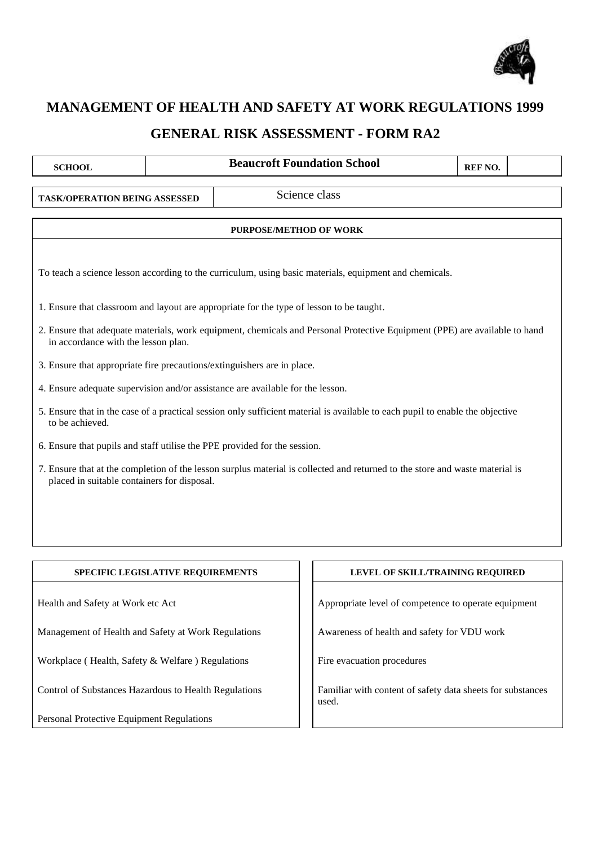

## **MANAGEMENT OF HEALTH AND SAFETY AT WORK REGULATIONS 1999**

## **GENERAL RISK ASSESSMENT - FORM RA2**

| <b>SCHOOL</b>                                                                                      |  |  | <b>Beaucroft Foundation School</b>                                                                                            | REF NO. |  |
|----------------------------------------------------------------------------------------------------|--|--|-------------------------------------------------------------------------------------------------------------------------------|---------|--|
| <b>TASK/OPERATION BEING ASSESSED</b>                                                               |  |  | Science class                                                                                                                 |         |  |
| <b>PURPOSE/METHOD OF WORK</b>                                                                      |  |  |                                                                                                                               |         |  |
|                                                                                                    |  |  | To teach a science lesson according to the curriculum, using basic materials, equipment and chemicals.                        |         |  |
| 1. Ensure that classroom and layout are appropriate for the type of lesson to be taught.           |  |  |                                                                                                                               |         |  |
| in accordance with the lesson plan.                                                                |  |  | 2. Ensure that adequate materials, work equipment, chemicals and Personal Protective Equipment (PPE) are available to hand    |         |  |
| 3. Ensure that appropriate fire precautions/extinguishers are in place.                            |  |  |                                                                                                                               |         |  |
| 4. Ensure adequate supervision and/or assistance are available for the lesson.                     |  |  |                                                                                                                               |         |  |
| to be achieved.                                                                                    |  |  | 5. Ensure that in the case of a practical session only sufficient material is available to each pupil to enable the objective |         |  |
| 6. Ensure that pupils and staff utilise the PPE provided for the session.                          |  |  |                                                                                                                               |         |  |
| placed in suitable containers for disposal.                                                        |  |  | 7. Ensure that at the completion of the lesson surplus material is collected and returned to the store and waste material is  |         |  |
|                                                                                                    |  |  |                                                                                                                               |         |  |
|                                                                                                    |  |  |                                                                                                                               |         |  |
| SPECIFIC LEGISLATIVE REQUIREMENTS                                                                  |  |  | LEVEL OF SKILL/TRAINING REQUIRED                                                                                              |         |  |
| Health and Safety at Work etc Act                                                                  |  |  | Appropriate level of competence to operate equipment                                                                          |         |  |
| Management of Health and Safety at Work Regulations<br>Awareness of health and safety for VDU work |  |  |                                                                                                                               |         |  |
| Workplace (Health, Safety & Welfare) Regulations<br>Fire evacuation procedures                     |  |  |                                                                                                                               |         |  |

Control of Substances Hazardous to Health Regulations

Personal Protective Equipment Regulations

Familiar with content of safety data sheets for substances used.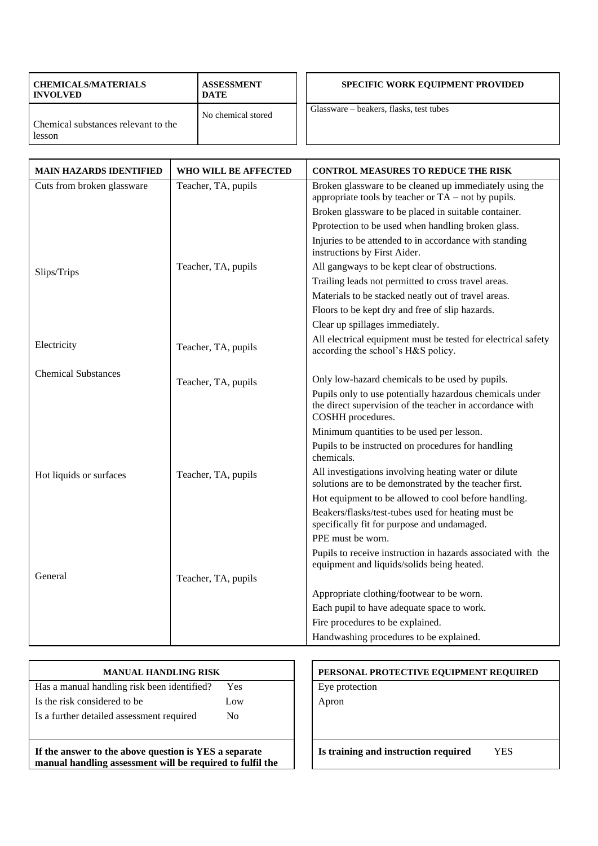| <b>CHEMICALS/MATERIALS</b><br><b>INVOLVED</b> | <b>ASSESSMENT</b><br><b>DATE</b> | <b>SPECIFIC WORK EQUIPMENT PROVIDED</b> |
|-----------------------------------------------|----------------------------------|-----------------------------------------|
| Chemical substances relevant to the<br>lesson | No chemical stored               | Glassware – beakers, flasks, test tubes |

| <b>MAIN HAZARDS IDENTIFIED</b> | WHO WILL BE AFFECTED | <b>CONTROL MEASURES TO REDUCE THE RISK</b>                                                                                                |
|--------------------------------|----------------------|-------------------------------------------------------------------------------------------------------------------------------------------|
| Cuts from broken glassware     | Teacher, TA, pupils  | Broken glassware to be cleaned up immediately using the<br>appropriate tools by teacher or $TA$ – not by pupils.                          |
|                                |                      | Broken glassware to be placed in suitable container.                                                                                      |
|                                |                      | Pprotection to be used when handling broken glass.                                                                                        |
|                                |                      | Injuries to be attended to in accordance with standing<br>instructions by First Aider.                                                    |
| Slips/Trips                    | Teacher, TA, pupils  | All gangways to be kept clear of obstructions.                                                                                            |
|                                |                      | Trailing leads not permitted to cross travel areas.                                                                                       |
|                                |                      | Materials to be stacked neatly out of travel areas.                                                                                       |
|                                |                      | Floors to be kept dry and free of slip hazards.                                                                                           |
|                                |                      | Clear up spillages immediately.                                                                                                           |
| Electricity                    | Teacher, TA, pupils  | All electrical equipment must be tested for electrical safety<br>according the school's H&S policy.                                       |
| <b>Chemical Substances</b>     |                      |                                                                                                                                           |
|                                | Teacher, TA, pupils  | Only low-hazard chemicals to be used by pupils.                                                                                           |
|                                |                      | Pupils only to use potentially hazardous chemicals under<br>the direct supervision of the teacher in accordance with<br>COSHH procedures. |
|                                |                      | Minimum quantities to be used per lesson.                                                                                                 |
|                                |                      | Pupils to be instructed on procedures for handling<br>chemicals.                                                                          |
| Hot liquids or surfaces        | Teacher, TA, pupils  | All investigations involving heating water or dilute<br>solutions are to be demonstrated by the teacher first.                            |
|                                |                      | Hot equipment to be allowed to cool before handling.                                                                                      |
|                                |                      | Beakers/flasks/test-tubes used for heating must be<br>specifically fit for purpose and undamaged.                                         |
|                                |                      | PPE must be worn.                                                                                                                         |
|                                |                      | Pupils to receive instruction in hazards associated with the<br>equipment and liquids/solids being heated.                                |
| General                        | Teacher, TA, pupils  |                                                                                                                                           |
|                                |                      | Appropriate clothing/footwear to be worn.                                                                                                 |
|                                |                      | Each pupil to have adequate space to work.                                                                                                |
|                                |                      | Fire procedures to be explained.                                                                                                          |
|                                |                      | Handwashing procedures to be explained.                                                                                                   |

| Has a manual handling risk been identified? | Yes            |
|---------------------------------------------|----------------|
| Is the risk considered to be                | Low            |
| Is a further detailed assessment required   | N <sub>0</sub> |
|                                             |                |

**manual handling assessment will be required to fulfil the** 

PERSONAL PROTECTIVE EQUIPMENT REQUIRED Eye protection Apron

**Is training and instruction required** YES